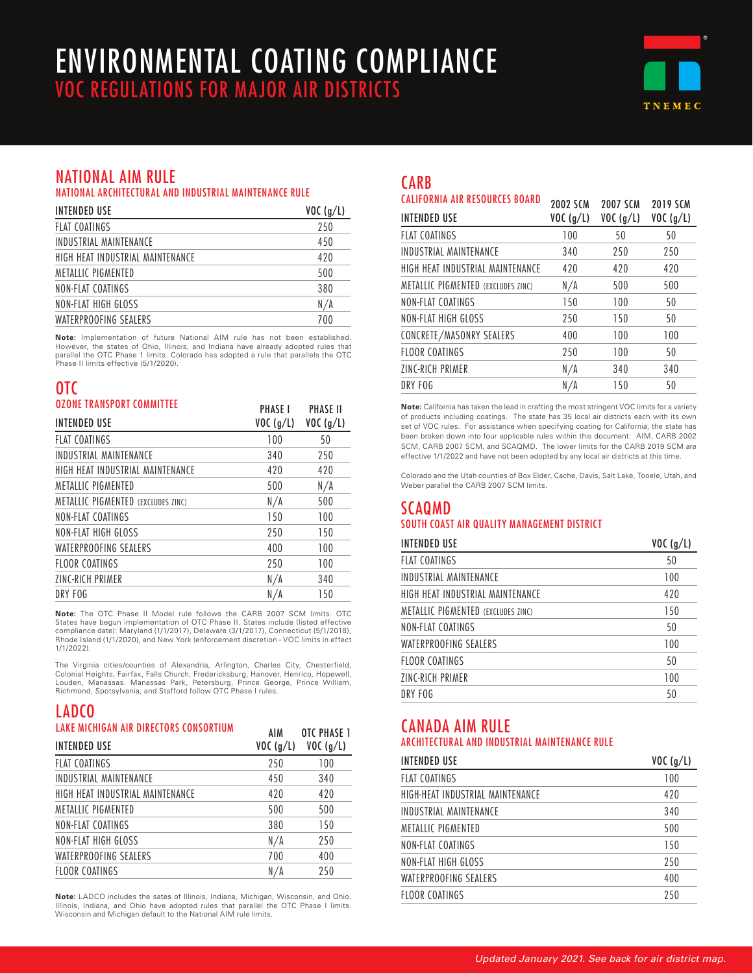# ENVIRONMENTAL COATING COMPLIANCE VOC REGULATIONS FOR MAJOR AIR DISTRICTS



## NATIONAL AIM RULE

NATIONAL ARCHITECTURAL AND INDUSTRIAL MAINTENANCE RULE

| <b>INTENDED USE</b>              | VOC(g/L) |
|----------------------------------|----------|
| <b>FLAT COATINGS</b>             | 250      |
| INDUSTRIAL MAINTFNANCF           | 450      |
| HIGH HFAT INDUSTRIAI MAINTFNANCF | 420      |
| METALLIC PIGMENTED               | 500      |
| NON-FLAT COATINGS                | 380      |
| NON-FLAT HIGH GLOSS              | N/A      |
| WATERPROOFING SEALERS            | 700      |

**Note:** Implementation of future National AIM rule has not been established. However, the states of Ohio, Illinois, and Indiana have already adopted rules that parallel the OTC Phase 1 limits. Colorado has adopted a rule that parallels the OTC Phase II limits effective (5/1/2020).

### OTC OZONE TRANSPORT COMMITTEE

| UZUNE IKANSPUKI LUMMIIIEE          | <b>PHASE I</b> | <b>PHASE II</b> |
|------------------------------------|----------------|-----------------|
| <b>INTENDED USE</b>                | VOC(g/L)       | VOC(g/L)        |
| <b>FLAT COATINGS</b>               | 100            | 50              |
| INDUSTRIAL MAINTENANCE             | 340            | 250             |
| HIGH HEAT INDUSTRIAL MAINTENANCE   | 420            | 420             |
| <b>METALLIC PIGMENTED</b>          | 500            | N/A             |
| METALLIC PIGMENTED (EXCLUDES ZINC) | N/A            | 500             |
| NON-FLAT COATINGS                  | 150            | 100             |
| NON-FLAT HIGH GLOSS                | 250            | 150             |
| WATERPROOFING SEALERS              | 400            | 100             |
| <b>FLOOR COATINGS</b>              | 250            | 100             |
| ZINC-RICH PRIMER                   | N/A            | 340             |
| DRY FOG                            | N/A            | 150             |

**Note:** The OTC Phase II Model rule follows the CARB 2007 SCM limits. OTC States have begun implementation of OTC Phase II. States include (listed effective compliance date): Maryland (1/1/2017), Delaware (3/1/2017), Connecticut (5/1/2018), Rhode Island (1/1/2020), and New York (enforcement discretion - VOC limits in effect 1/1/2022).

The Virginia cities/counties of Alexandria, Arlington, Charles City, Chesterfield, Colonial Heights, Fairfax, Falls Church, Fredericksburg, Hanover, Henrico, Hopewell,<br>Louden, Manassas. Manassas Park, Petersburg, Prince George, Prince William,<br>Richmond, Spotsylvania, and Stafford follow OTC Phase

AIM

OTC PHASE 1

### LADCO LAKE MICHIGAN AIR DIRECTORS CONSORTIUM

| <b>INTENDED USE</b>              | 7111<br>VOC (q/L) | <b>UILIIMJLI</b><br>VOC(g/L) |
|----------------------------------|-------------------|------------------------------|
| <b>FLAT COATINGS</b>             | 250               | 100                          |
| INDUSTRIAL MAINTENANCE           | 450               | 340                          |
| HIGH HEAT INDUSTRIAL MAINTENANCE | 420               | 420                          |
| METALLIC PIGMENTED               | 500               | 500                          |
| NON-FLAT COATINGS                | 380               | 150                          |
| NON-FLAT HIGH GLOSS              | N/A               | 250                          |
| WATERPROOFING SEALERS            | 700               | 400                          |
| FLOOR COATINGS                   | N/A               | 250                          |

**Note:** LADCO includes the sates of Illinois, Indiana, Michigan, Wisconsin, and Ohio. Illinois, Indiana, and Ohio have adopted rules that parallel the OTC Phase I limits. Wisconsin and Michigan default to the National AIM rule limits.

## **CARB**

| <b>CALIFORNIA AIR RESOURCES BOARD</b> | <b>2002 SCM</b> | <b>2007 SCM</b> | <b>2019 SCM</b> |
|---------------------------------------|-----------------|-----------------|-----------------|
| <b>INTENDED USE</b>                   | VOC(g/L)        | VOC(g/L)        | VOC(g/L)        |
| <b>FLAT COATINGS</b>                  | 100             | 50              | 50              |
| INDUSTRIAL MAINTENANCE                | 340             | 250             | 250             |
| HIGH HEAT INDUSTRIAL MAINTENANCE      | 420             | 420             | 420             |
| METALLIC PIGMENTED (EXCLUDES ZINC)    | N/A             | 500             | 500             |
| NON-FLAT COATINGS                     | 150             | 100             | 50              |
| NON-FLAT HIGH GLOSS                   | 250             | 150             | 50              |
| CONCRETE/MASONRY SEALERS              | 400             | 100             | 100             |
| FLOOR COATINGS                        | 250             | 100             | 50              |
| ZINC-RICH PRIMER                      | N/A             | 340             | 340             |
| DRY FOG                               | N/A             | 150             | 50              |

**Note:** California has taken the lead in crafting the most stringent VOC limits for a variety of products including coatings. The state has 35 local air districts each with its own set of VOC rules. For assistance when specifying coating for California, the state has been broken down into four applicable rules within this document: AIM, CARB 2002 SCM, CARB 2007 SCM, and SCAQMD. The lower limits for the CARB 2019 SCM are effective 1/1/2022 and have not been adopted by any local air districts at this time.

Colorado and the Utah counties of Box Elder, Cache, Davis, Salt Lake, Tooele, Utah, and Weber parallel the CARB 2007 SCM limits.

### SCAQMD SOUTH COAST AIR QUALITY MANAGEMENT DISTRICT

| <b>INTENDED USE</b>                       | VOC(g/L) |
|-------------------------------------------|----------|
| <b>FLAT COATINGS</b>                      | 50       |
| INDUSTRIAL MAINTENANCE                    | 100      |
| HIGH HEAT INDUSTRIAL MAINTENANCE          | 420      |
| <b>METALLIC PIGMENTED (EXCLUDES ZINC)</b> | 150      |
| NON-FLAT COATINGS                         | 50       |
| WATERPROOFING SEALERS                     | 100      |
| FLOOR COATINGS                            | 50       |
| ZINC-RICH PRIMER                          | 100      |
| DRY FOG                                   | 50       |

## CANADA AIM RULE

#### ARCHITECTURAL AND INDUSTRIAL MAINTENANCE RULE

| <b>INTENDED USE</b>              | VOC(g/L) |
|----------------------------------|----------|
| <b>FLAT COATINGS</b>             | 100      |
| HIGH-HEAT INDUSTRIAL MAINTENANCE | 420      |
| INDUSTRIAL MAINTFNANCF           | 340      |
| METALLIC PIGMENTED               | 500      |
| NON-FLAT COATINGS                | 150      |
| NON-FLAT HIGH GLOSS              | 250      |
| WATERPROOFING SEALERS            | 400      |
| FLOOR COATINGS                   | 250      |